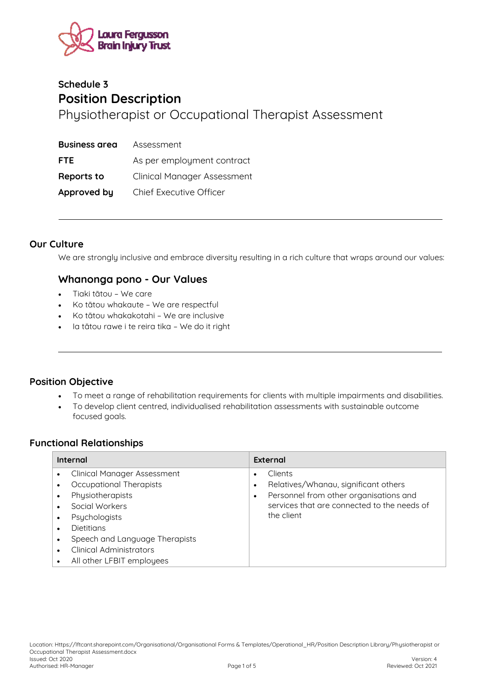

# **Schedule 3 Position Description**  Physiotherapist or Occupational Therapist Assessment

| <b>Business area</b> | Assessment                         |
|----------------------|------------------------------------|
| <b>FTE</b>           | As per employment contract         |
| Reports to           | <b>Clinical Manager Assessment</b> |
| Approved by          | Chief Executive Officer            |

#### **Our Culture**

We are strongly inclusive and embrace diversity resulting in a rich culture that wraps around our values:

## **Whanonga pono - Our Values**

- Tiaki tātou We care
- Ko tātou whakaute We are respectful
- Ko tātou whakakotahi We are inclusive
- Ia tātou rawe i te reira tika We do it right

## **Position Objective**

- To meet a range of rehabilitation requirements for clients with multiple impairments and disabilities.
- To develop client centred, individualised rehabilitation assessments with sustainable outcome focused goals.

#### **Functional Relationships**

| Internal                                                                                                                                                                                                                                                                          | External                                                                                                                                               |  |
|-----------------------------------------------------------------------------------------------------------------------------------------------------------------------------------------------------------------------------------------------------------------------------------|--------------------------------------------------------------------------------------------------------------------------------------------------------|--|
| <b>Clinical Manager Assessment</b><br>Occupational Therapists<br>Physiotherapists<br>$\bullet$<br>Social Workers<br>Psychologists<br>$\bullet$<br><b>Dietitians</b><br>Speech and Language Therapists<br>$\bullet$<br><b>Clinical Administrators</b><br>All other LFBIT employees | Clients<br>Relatives/Whanau, significant others<br>Personnel from other organisations and<br>services that are connected to the needs of<br>the client |  |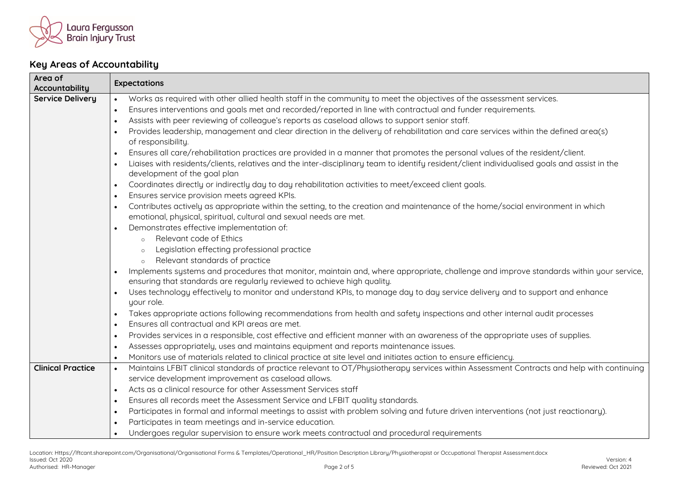

## **Key Areas of Accountability**

| Area of                  |                                                                                                                                                                                                                    |  |  |
|--------------------------|--------------------------------------------------------------------------------------------------------------------------------------------------------------------------------------------------------------------|--|--|
| Accountability           | <b>Expectations</b>                                                                                                                                                                                                |  |  |
| <b>Service Delivery</b>  | Works as required with other allied health staff in the community to meet the objectives of the assessment services.<br>$\bullet$                                                                                  |  |  |
|                          | Ensures interventions and goals met and recorded/reported in line with contractual and funder requirements.<br>$\bullet$                                                                                           |  |  |
|                          | Assists with peer reviewing of colleague's reports as caseload allows to support senior staff.<br>$\bullet$                                                                                                        |  |  |
|                          | Provides leadership, management and clear direction in the delivery of rehabilitation and care services within the defined area(s)<br>$\bullet$<br>of responsibility.                                              |  |  |
|                          | Ensures all care/rehabilitation practices are provided in a manner that promotes the personal values of the resident/client.                                                                                       |  |  |
|                          | Liaises with residents/clients, relatives and the inter-disciplinary team to identify resident/client individualised goals and assist in the                                                                       |  |  |
|                          | development of the goal plan                                                                                                                                                                                       |  |  |
|                          | Coordinates directly or indirectly day to day rehabilitation activities to meet/exceed client goals.<br>$\bullet$                                                                                                  |  |  |
|                          | Ensures service provision meets agreed KPIs.<br>$\bullet$                                                                                                                                                          |  |  |
|                          | Contributes actively as appropriate within the setting, to the creation and maintenance of the home/social environment in which<br>$\bullet$<br>emotional, physical, spiritual, cultural and sexual needs are met. |  |  |
|                          | Demonstrates effective implementation of:<br>$\bullet$                                                                                                                                                             |  |  |
|                          | Relevant code of Ethics<br>$\circ$                                                                                                                                                                                 |  |  |
|                          | Legislation effecting professional practice                                                                                                                                                                        |  |  |
|                          | Relevant standards of practice<br>$\circ$                                                                                                                                                                          |  |  |
|                          | Implements systems and procedures that monitor, maintain and, where appropriate, challenge and improve standards within your service,<br>ensuring that standards are regularly reviewed to achieve high quality.   |  |  |
|                          | Uses technology effectively to monitor and understand KPIs, to manage day to day service delivery and to support and enhance                                                                                       |  |  |
|                          | your role.                                                                                                                                                                                                         |  |  |
|                          | Takes appropriate actions following recommendations from health and safety inspections and other internal audit processes<br>$\bullet$                                                                             |  |  |
|                          | Ensures all contractual and KPI areas are met.<br>$\bullet$                                                                                                                                                        |  |  |
|                          | Provides services in a responsible, cost effective and efficient manner with an awareness of the appropriate uses of supplies.<br>$\bullet$                                                                        |  |  |
|                          | Assesses appropriately, uses and maintains equipment and reports maintenance issues.<br>$\bullet$                                                                                                                  |  |  |
|                          | Monitors use of materials related to clinical practice at site level and initiates action to ensure efficiency.<br>$\bullet$                                                                                       |  |  |
| <b>Clinical Practice</b> | Maintains LFBIT clinical standards of practice relevant to OT/Physiotherapy services within Assessment Contracts and help with continuing<br>$\bullet$                                                             |  |  |
|                          | service development improvement as caseload allows.                                                                                                                                                                |  |  |
|                          | Acts as a clinical resource for other Assessment Services staff<br>$\bullet$                                                                                                                                       |  |  |
|                          | Ensures all records meet the Assessment Service and LFBIT quality standards.<br>$\bullet$                                                                                                                          |  |  |
|                          | Participates in formal and informal meetings to assist with problem solving and future driven interventions (not just reactionary).<br>$\bullet$                                                                   |  |  |
|                          | Participates in team meetings and in-service education.<br>$\bullet$                                                                                                                                               |  |  |
|                          | Undergoes regular supervision to ensure work meets contractual and procedural requirements<br>$\bullet$                                                                                                            |  |  |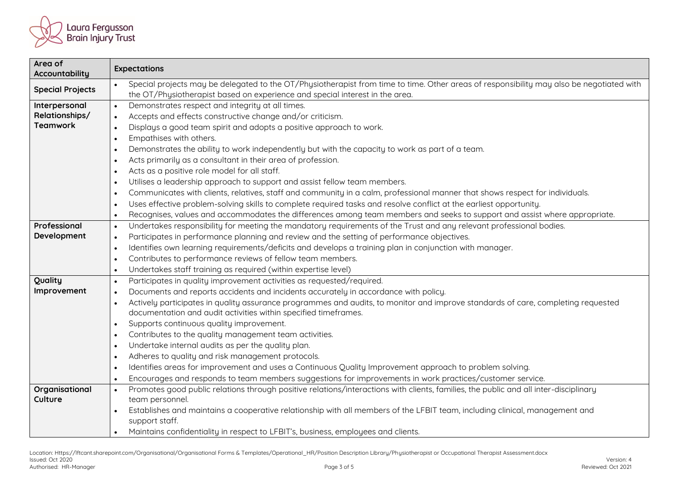

| Area of<br>Accountability | <b>Expectations</b>                                                                                                                                                                                                                  |  |
|---------------------------|--------------------------------------------------------------------------------------------------------------------------------------------------------------------------------------------------------------------------------------|--|
| <b>Special Projects</b>   | Special projects may be delegated to the OT/Physiotherapist from time to time. Other areas of responsibility may also be negotiated with<br>the OT/Physiotherapist based on experience and special interest in the area.             |  |
| Interpersonal             | Demonstrates respect and integrity at all times.<br>$\bullet$                                                                                                                                                                        |  |
| Relationships/            | Accepts and effects constructive change and/or criticism.<br>$\bullet$                                                                                                                                                               |  |
| <b>Teamwork</b>           | Displays a good team spirit and adopts a positive approach to work.<br>$\bullet$                                                                                                                                                     |  |
|                           | Empathises with others.<br>$\bullet$                                                                                                                                                                                                 |  |
|                           | Demonstrates the ability to work independently but with the capacity to work as part of a team.                                                                                                                                      |  |
|                           | $\bullet$<br>Acts primarily as a consultant in their area of profession.                                                                                                                                                             |  |
|                           | $\bullet$<br>Acts as a positive role model for all staff.                                                                                                                                                                            |  |
|                           | $\bullet$<br>Utilises a leadership approach to support and assist fellow team members.                                                                                                                                               |  |
|                           | $\bullet$<br>Communicates with clients, relatives, staff and community in a calm, professional manner that shows respect for individuals.                                                                                            |  |
|                           | $\bullet$<br>Uses effective problem-solving skills to complete required tasks and resolve conflict at the earliest opportunity.                                                                                                      |  |
|                           | $\bullet$<br>Recognises, values and accommodates the differences among team members and seeks to support and assist where appropriate.<br>$\bullet$                                                                                  |  |
| Professional              | Undertakes responsibility for meeting the mandatory requirements of the Trust and any relevant professional bodies.                                                                                                                  |  |
| Development               | $\bullet$<br>Participates in performance planning and review and the setting of performance objectives.                                                                                                                              |  |
|                           | $\bullet$                                                                                                                                                                                                                            |  |
|                           | Identifies own learning requirements/deficits and develops a training plan in conjunction with manager.<br>$\bullet$<br>Contributes to performance reviews of fellow team members.                                                   |  |
|                           | $\bullet$<br>Undertakes staff training as required (within expertise level)                                                                                                                                                          |  |
| Quality                   | $\bullet$                                                                                                                                                                                                                            |  |
| Improvement               | Participates in quality improvement activities as requested/required.<br>$\bullet$                                                                                                                                                   |  |
|                           | Documents and reports accidents and incidents accurately in accordance with policy.<br>$\bullet$<br>Actively participates in quality assurance programmes and audits, to monitor and improve standards of care, completing requested |  |
|                           | $\bullet$<br>documentation and audit activities within specified timeframes.                                                                                                                                                         |  |
|                           | Supports continuous quality improvement.<br>$\bullet$                                                                                                                                                                                |  |
|                           | Contributes to the quality management team activities.<br>$\bullet$                                                                                                                                                                  |  |
|                           | Undertake internal audits as per the quality plan.<br>$\bullet$                                                                                                                                                                      |  |
|                           | Adheres to quality and risk management protocols.<br>$\bullet$                                                                                                                                                                       |  |
|                           | Identifies areas for improvement and uses a Continuous Quality Improvement approach to problem solving.<br>$\bullet$                                                                                                                 |  |
|                           | Encourages and responds to team members suggestions for improvements in work practices/customer service.<br>$\bullet$                                                                                                                |  |
| Organisational            | Promotes good public relations through positive relations/interactions with clients, families, the public and all inter-disciplinary<br>$\bullet$                                                                                    |  |
| Culture                   | team personnel.                                                                                                                                                                                                                      |  |
|                           | Establishes and maintains a cooperative relationship with all members of the LFBIT team, including clinical, management and<br>$\bullet$                                                                                             |  |
|                           | support staff.                                                                                                                                                                                                                       |  |
|                           | Maintains confidentiality in respect to LFBIT's, business, employees and clients.<br>$\bullet$                                                                                                                                       |  |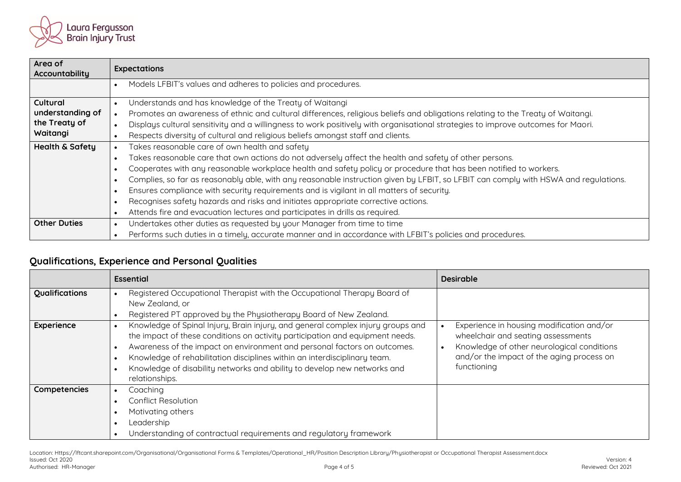

| Area of<br>Accountability  | <b>Expectations</b>                                                                                                                 |  |
|----------------------------|-------------------------------------------------------------------------------------------------------------------------------------|--|
|                            | Models LFBIT's values and adheres to policies and procedures.<br>$\bullet$                                                          |  |
| Cultural                   | Understands and has knowledge of the Treaty of Waitangi                                                                             |  |
| understanding of           | Promotes an awareness of ethnic and cultural differences, religious beliefs and obligations relating to the Treaty of Waitangi.     |  |
| the Treaty of              | Displays cultural sensitivity and a willingness to work positively with organisational strategies to improve outcomes for Maori.    |  |
| Waitangi                   | Respects diversity of cultural and religious beliefs amongst staff and clients.                                                     |  |
| <b>Health &amp; Safety</b> | Takes reasonable care of own health and safety                                                                                      |  |
|                            | Takes reasonable care that own actions do not adversely affect the health and safety of other persons.<br>$\bullet$                 |  |
|                            | Cooperates with any reasonable workplace health and safety policy or procedure that has been notified to workers.                   |  |
|                            | Complies, so far as reasonably able, with any reasonable instruction given by LFBIT, so LFBIT can comply with HSWA and regulations. |  |
|                            | Ensures compliance with security requirements and is vigilant in all matters of security.                                           |  |
|                            | Recognises safety hazards and risks and initiates appropriate corrective actions.                                                   |  |
|                            | Attends fire and evacuation lectures and participates in drills as required.<br>$\bullet$                                           |  |
| <b>Other Duties</b>        | Undertakes other duties as requested by your Manager from time to time                                                              |  |
|                            | Performs such duties in a timely, accurate manner and in accordance with LFBIT's policies and procedures.<br>$\bullet$              |  |

## **Qualifications, Experience and Personal Qualities**

|                              | <b>Essential</b>                                                                                                                                                                                                                                                                                                                                                                                                                                                                                                                                                                                         | <b>Desirable</b>                                                                                                                                                                          |
|------------------------------|----------------------------------------------------------------------------------------------------------------------------------------------------------------------------------------------------------------------------------------------------------------------------------------------------------------------------------------------------------------------------------------------------------------------------------------------------------------------------------------------------------------------------------------------------------------------------------------------------------|-------------------------------------------------------------------------------------------------------------------------------------------------------------------------------------------|
| Qualifications<br>Experience | Registered Occupational Therapist with the Occupational Therapy Board of<br>New Zealand, or<br>Registered PT approved by the Physiotherapy Board of New Zealand.<br>Knowledge of Spinal Injury, Brain injury, and general complex injury groups and<br>$\bullet$<br>the impact of these conditions on activity participation and equipment needs.<br>Awareness of the impact on environment and personal factors on outcomes.<br>Knowledge of rehabilitation disciplines within an interdisciplinary team.<br>Knowledge of disability networks and ability to develop new networks and<br>relationships. | Experience in housing modification and/or<br>wheelchair and seating assessments<br>Knowledge of other neurological conditions<br>and/or the impact of the aging process on<br>functioning |
| Competencies                 | Coaching<br>Conflict Resolution<br>Motivating others<br>Leadership<br>Understanding of contractual requirements and regulatory framework                                                                                                                                                                                                                                                                                                                                                                                                                                                                 |                                                                                                                                                                                           |

Location: Https://lftcant.sharepoint.com/Organisational/Organisational Forms & Templates/Operational\_HR/Position Description Library/Physiotherapist or Occupational Therapist Assessment.docx<br>Issued: Oct 2020 Issued: Oct 2020 Version: 4 Authorised: HR-Manager Page 4 of 5 Reviewed: Oct 2021